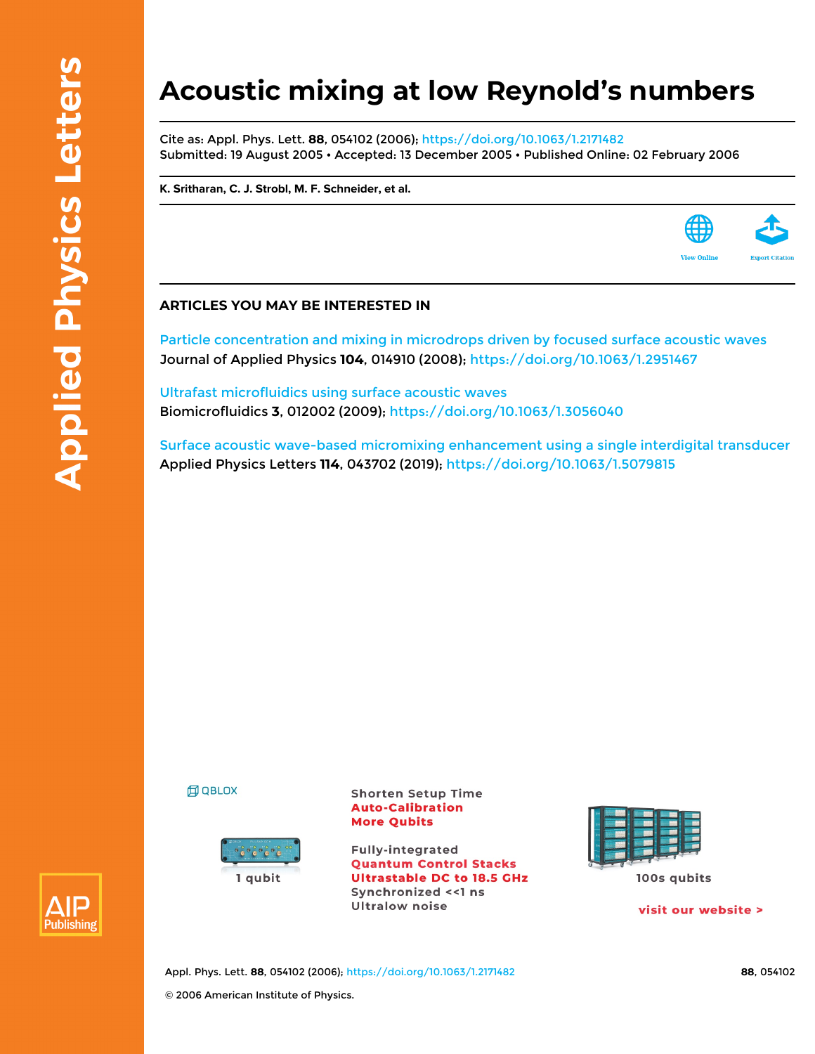## **Acoustic mixing at low Reynold's numbers**

Cite as: Appl. Phys. Lett. **88**, 054102 (2006);<https://doi.org/10.1063/1.2171482> Submitted: 19 August 2005 • Accepted: 13 December 2005 • Published Online: 02 February 2006

**[K. Sritharan,](https://aip.scitation.org/author/Sritharan%2C+K) [C. J. Strobl,](https://aip.scitation.org/author/Strobl%2C+C+J) [M. F. Schneider](https://aip.scitation.org/author/Schneider%2C+M+F), et al.**



## **ARTICLES YOU MAY BE INTERESTED IN**

[Particle concentration and mixing in microdrops driven by focused surface acoustic waves](https://aip.scitation.org/doi/10.1063/1.2951467) Journal of Applied Physics **104**, 014910 (2008);<https://doi.org/10.1063/1.2951467>

[Ultrafast microfluidics using surface acoustic waves](https://aip.scitation.org/doi/10.1063/1.3056040) Biomicrofluidics **3**, 012002 (2009); <https://doi.org/10.1063/1.3056040>

[Surface acoustic wave-based micromixing enhancement using a single interdigital transducer](https://aip.scitation.org/doi/10.1063/1.5079815) Applied Physics Letters **114**, 043702 (2019);<https://doi.org/10.1063/1.5079815>





**Shorten Setup Time Auto-Calibration More Qubits** 

**Fully-integrated Quantum Control Stacks Ultrastable DC to 18.5 GHz** Synchronized << 1 ns **Ultralow noise** 



visit our website >



Appl. Phys. Lett. **88**, 054102 (2006);<https://doi.org/10.1063/1.2171482> **88**, 054102 © 2006 American Institute of Physics.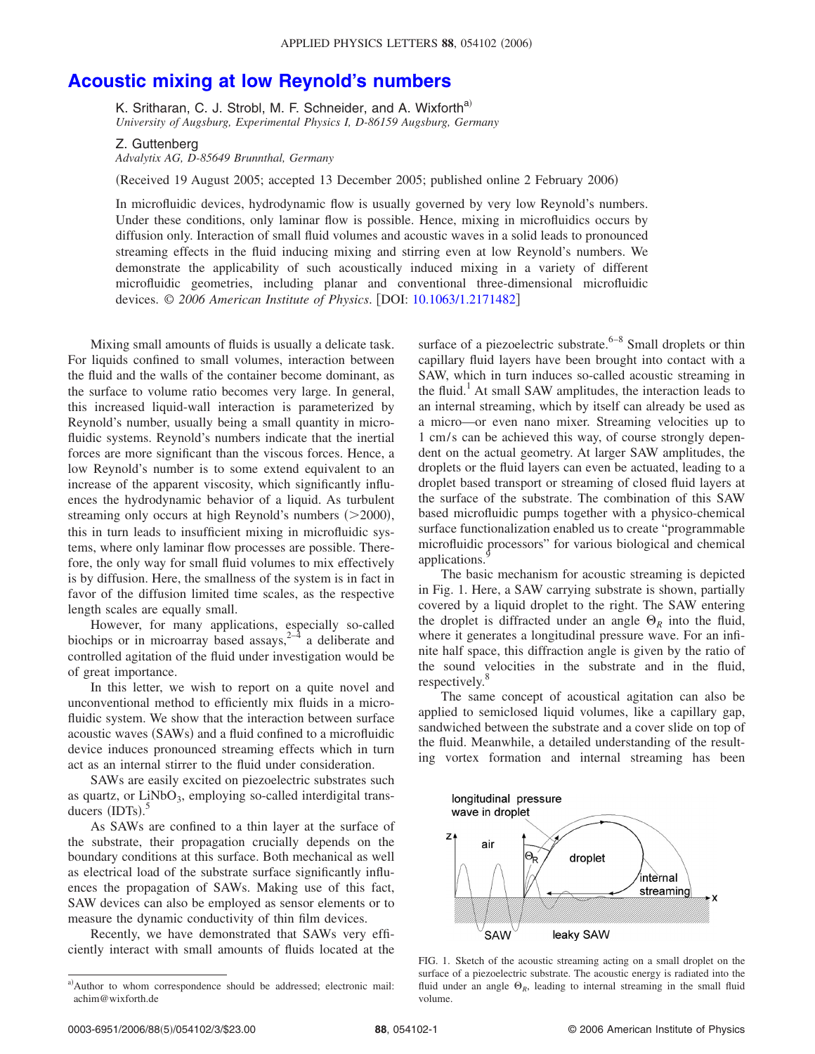## **[Acoustic mixing at low Reynold's numbers](http://dx.doi.org/10.1063/1.2171482)**

K. Sritharan, C. J. Strobl, M. F. Schneider, and A. Wixforth<sup>a)</sup> *University of Augsburg, Experimental Physics I, D-86159 Augsburg, Germany*

## Z. Guttenberg

*Advalytix AG, D-85649 Brunnthal, Germany*

(Received 19 August 2005; accepted 13 December 2005; published online 2 February 2006)

In microfluidic devices, hydrodynamic flow is usually governed by very low Reynold's numbers. Under these conditions, only laminar flow is possible. Hence, mixing in microfluidics occurs by diffusion only. Interaction of small fluid volumes and acoustic waves in a solid leads to pronounced streaming effects in the fluid inducing mixing and stirring even at low Reynold's numbers. We demonstrate the applicability of such acoustically induced mixing in a variety of different microfluidic geometries, including planar and conventional three-dimensional microfluidic devices. © *2006 American Institute of Physics*. DOI: [10.1063/1.2171482](http://dx.doi.org/10.1063/1.2171482)

Mixing small amounts of fluids is usually a delicate task. For liquids confined to small volumes, interaction between the fluid and the walls of the container become dominant, as the surface to volume ratio becomes very large. In general, this increased liquid-wall interaction is parameterized by Reynold's number, usually being a small quantity in microfluidic systems. Reynold's numbers indicate that the inertial forces are more significant than the viscous forces. Hence, a low Reynold's number is to some extend equivalent to an increase of the apparent viscosity, which significantly influences the hydrodynamic behavior of a liquid. As turbulent streaming only occurs at high Reynold's numbers  $(>=2000)$ , this in turn leads to insufficient mixing in microfluidic systems, where only laminar flow processes are possible. Therefore, the only way for small fluid volumes to mix effectively is by diffusion. Here, the smallness of the system is in fact in favor of the diffusion limited time scales, as the respective length scales are equally small.

However, for many applications, especially so-called biochips or in microarray based assays,<sup>2-4</sup> a deliberate and controlled agitation of the fluid under investigation would be of great importance.

In this letter, we wish to report on a quite novel and unconventional method to efficiently mix fluids in a microfluidic system. We show that the interaction between surface acoustic waves (SAWs) and a fluid confined to a microfluidic device induces pronounced streaming effects which in turn act as an internal stirrer to the fluid under consideration.

SAWs are easily excited on piezoelectric substrates such as quartz, or  $LiNbO<sub>3</sub>$ , employing so-called interdigital transducers  $(IDTs).$ <sup>5</sup>

As SAWs are confined to a thin layer at the surface of the substrate, their propagation crucially depends on the boundary conditions at this surface. Both mechanical as well as electrical load of the substrate surface significantly influences the propagation of SAWs. Making use of this fact, SAW devices can also be employed as sensor elements or to measure the dynamic conductivity of thin film devices.

Recently, we have demonstrated that SAWs very efficiently interact with small amounts of fluids located at the surface of a piezoelectric substrate. $6-8$  Small droplets or thin capillary fluid layers have been brought into contact with a SAW, which in turn induces so-called acoustic streaming in the fluid.<sup>1</sup> At small SAW amplitudes, the interaction leads to an internal streaming, which by itself can already be used as a micro—or even nano mixer. Streaming velocities up to 1 cm/s can be achieved this way, of course strongly dependent on the actual geometry. At larger SAW amplitudes, the droplets or the fluid layers can even be actuated, leading to a droplet based transport or streaming of closed fluid layers at the surface of the substrate. The combination of this SAW based microfluidic pumps together with a physico-chemical surface functionalization enabled us to create "programmable microfluidic processors" for various biological and chemical applications.

The basic mechanism for acoustic streaming is depicted in Fig. 1. Here, a SAW carrying substrate is shown, partially covered by a liquid droplet to the right. The SAW entering the droplet is diffracted under an angle  $\Theta_R$  into the fluid, where it generates a longitudinal pressure wave. For an infinite half space, this diffraction angle is given by the ratio of the sound velocities in the substrate and in the fluid, respectively. $\frac{8}{3}$ 

The same concept of acoustical agitation can also be applied to semiclosed liquid volumes, like a capillary gap, sandwiched between the substrate and a cover slide on top of the fluid. Meanwhile, a detailed understanding of the resulting vortex formation and internal streaming has been



FIG. 1. Sketch of the acoustic streaming acting on a small droplet on the surface of a piezoelectric substrate. The acoustic energy is radiated into the fluid under an angle  $\Theta_R$ , leading to internal streaming in the small fluid volume.

a)Author to whom correspondence should be addressed; electronic mail: achim@wixforth.de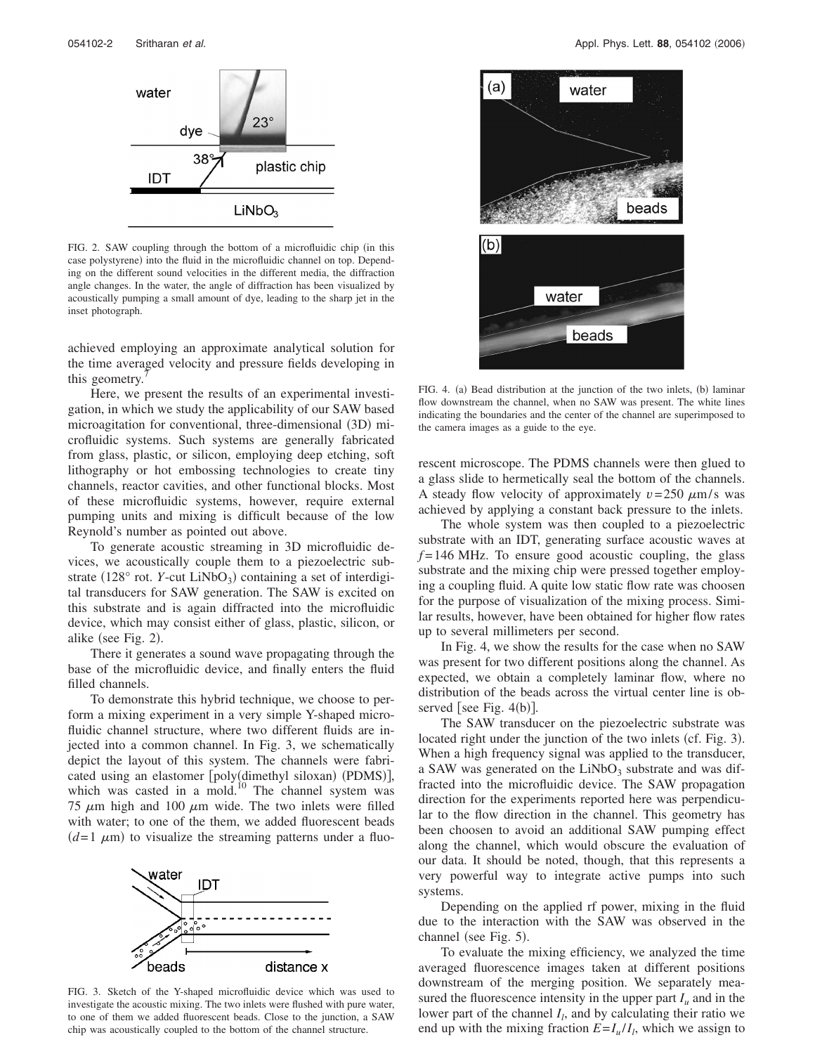

FIG. 2. SAW coupling through the bottom of a microfluidic chip (in this case polystyrene) into the fluid in the microfluidic channel on top. Depending on the different sound velocities in the different media, the diffraction angle changes. In the water, the angle of diffraction has been visualized by acoustically pumping a small amount of dye, leading to the sharp jet in the inset photograph.

achieved employing an approximate analytical solution for the time averaged velocity and pressure fields developing in this geometry.

Here, we present the results of an experimental investigation, in which we study the applicability of our SAW based microagitation for conventional, three-dimensional (3D) microfluidic systems. Such systems are generally fabricated from glass, plastic, or silicon, employing deep etching, soft lithography or hot embossing technologies to create tiny channels, reactor cavities, and other functional blocks. Most of these microfluidic systems, however, require external pumping units and mixing is difficult because of the low Reynold's number as pointed out above.

To generate acoustic streaming in 3D microfluidic devices, we acoustically couple them to a piezoelectric substrate (128° rot. *Y*-cut LiNbO<sub>3</sub>) containing a set of interdigital transducers for SAW generation. The SAW is excited on this substrate and is again diffracted into the microfluidic device, which may consist either of glass, plastic, silicon, or alike (see Fig. 2).

There it generates a sound wave propagating through the base of the microfluidic device, and finally enters the fluid filled channels.

To demonstrate this hybrid technique, we choose to perform a mixing experiment in a very simple Y-shaped microfluidic channel structure, where two different fluids are injected into a common channel. In Fig. 3, we schematically depict the layout of this system. The channels were fabricated using an elastomer [poly(dimethyl siloxan) (PDMS)], which was casted in a mold.<sup>10</sup> The channel system was 75  $\mu$ m high and 100  $\mu$ m wide. The two inlets were filled with water; to one of the them, we added fluorescent beads  $(d=1 \mu m)$  to visualize the streaming patterns under a fluo-



FIG. 3. Sketch of the Y-shaped microfluidic device which was used to investigate the acoustic mixing. The two inlets were flushed with pure water, to one of them we added fluorescent beads. Close to the junction, a SAW chip was acoustically coupled to the bottom of the channel structure.



FIG. 4. (a) Bead distribution at the junction of the two inlets, (b) laminar flow downstream the channel, when no SAW was present. The white lines indicating the boundaries and the center of the channel are superimposed to the camera images as a guide to the eye.

rescent microscope. The PDMS channels were then glued to a glass slide to hermetically seal the bottom of the channels. A steady flow velocity of approximately  $v = 250 \mu m/s$  was achieved by applying a constant back pressure to the inlets.

The whole system was then coupled to a piezoelectric substrate with an IDT, generating surface acoustic waves at  $f = 146$  MHz. To ensure good acoustic coupling, the glass substrate and the mixing chip were pressed together employing a coupling fluid. A quite low static flow rate was choosen for the purpose of visualization of the mixing process. Similar results, however, have been obtained for higher flow rates up to several millimeters per second.

In Fig. 4, we show the results for the case when no SAW was present for two different positions along the channel. As expected, we obtain a completely laminar flow, where no distribution of the beads across the virtual center line is observed [see Fig. 4(b)].

The SAW transducer on the piezoelectric substrate was located right under the junction of the two inlets (cf. Fig. 3). When a high frequency signal was applied to the transducer, a SAW was generated on the  $LiNbO<sub>3</sub>$  substrate and was diffracted into the microfluidic device. The SAW propagation direction for the experiments reported here was perpendicular to the flow direction in the channel. This geometry has been choosen to avoid an additional SAW pumping effect along the channel, which would obscure the evaluation of our data. It should be noted, though, that this represents a very powerful way to integrate active pumps into such systems.

Depending on the applied rf power, mixing in the fluid due to the interaction with the SAW was observed in the channel (see Fig. 5).

To evaluate the mixing efficiency, we analyzed the time averaged fluorescence images taken at different positions downstream of the merging position. We separately measured the fluorescence intensity in the upper part  $I_u$  and in the lower part of the channel  $I_l$ , and by calculating their ratio we end up with the mixing fraction  $E = I_u / I_l$ , which we assign to